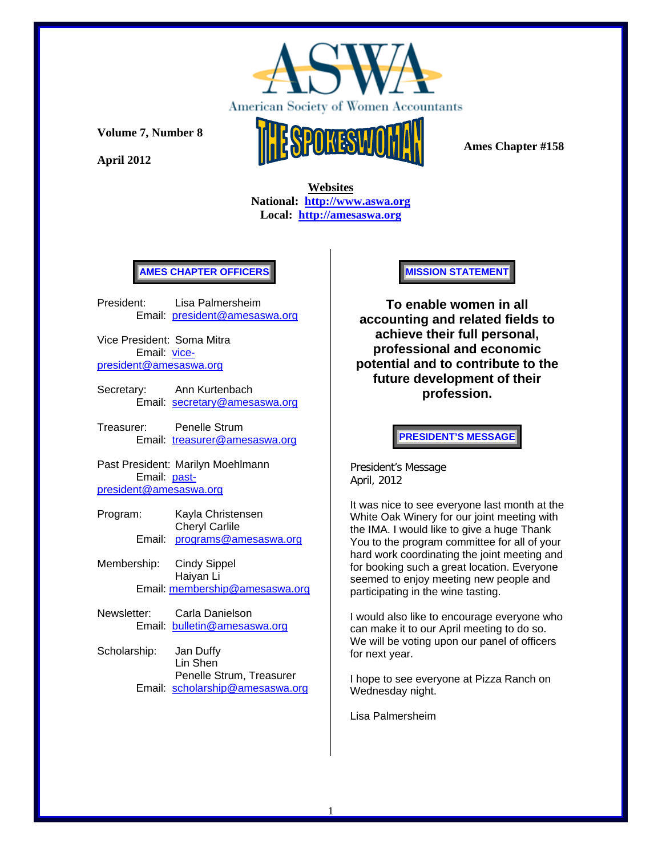

**April 2012** 



 **Ames Chapter #158** 

 **Websites National: http://www.aswa.org Local: http://amesaswa.org**

## **AMES CHAPTER OFFICERS**

President: Lisa Palmersheim Email: president@amesaswa.org

Vice President: Soma Mitra Email: vicepresident@amesaswa.org

- Secretary: Ann Kurtenbach Email: secretary@amesaswa.org
- Treasurer: Penelle Strum Email: treasurer@amesaswa.org

Past President: Marilyn Moehlmann Email: pastpresident@amesaswa.org

- Program: Kayla Christensen Cheryl Carlile Email: programs@amesaswa.org
- Membership: Cindy Sippel Haiyan Li Email: membership@amesaswa.org
- Newsletter: Carla Danielson Email: bulletin@amesaswa.org
- Scholarship: Jan Duffy Lin Shen Penelle Strum, Treasurer Email: scholarship@amesaswa.org

## **MISSION STATEMENT**

**To enable women in all accounting and related fields to achieve their full personal, professional and economic potential and to contribute to the future development of their profession.**

**PRESIDENT'S MESSAGE** 

President's Message April, 2012

It was nice to see everyone last month at the White Oak Winery for our joint meeting with the IMA. I would like to give a huge Thank You to the program committee for all of your hard work coordinating the joint meeting and for booking such a great location. Everyone seemed to enjoy meeting new people and participating in the wine tasting.

I would also like to encourage everyone who can make it to our April meeting to do so. We will be voting upon our panel of officers for next year.

I hope to see everyone at Pizza Ranch on Wednesday night.

Lisa Palmersheim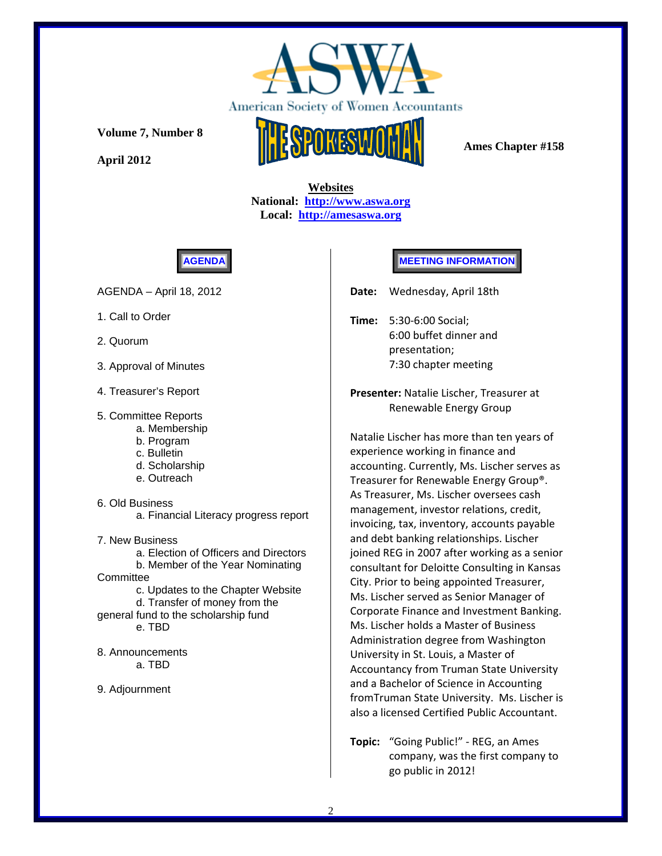

**April 2012** 



 **Ames Chapter #158** 

 **Websites National: http://www.aswa.org Local: http://amesaswa.org**



AGENDA – April 18, 2012

- 1. Call to Order
- 2. Quorum
- 3. Approval of Minutes
- 4. Treasurer's Report
- 5. Committee Reports
	- a. Membership
	- b. Program
	- c. Bulletin
	- d. Scholarship
	- e. Outreach

6. Old Business

a. Financial Literacy progress report

7. New Business

 a. Election of Officers and Directors b. Member of the Year Nominating **Committee** c. Updates to the Chapter Website d. Transfer of money from the general fund to the scholarship fund e. TBD

8. Announcements a. TBD

9. Adjournment

## **MEETING INFORMATION**

Date: Wednesday, April 18th

**Time:**  5:30‐6:00 Social; 6:00 buffet dinner and presentation; 7:30 chapter meeting

**Presenter:** Natalie Lischer, Treasurer at Renewable Energy Group

Natalie Lischer has more than ten years of experience working in finance and accounting. Currently, Ms. Lischer serves as Treasurer for Renewable Energy Group®. As Treasurer, Ms. Lischer oversees cash management, investor relations, credit, invoicing, tax, inventory, accounts payable and debt banking relationships. Lischer joined REG in 2007 after working as a senior consultant for Deloitte Consulting in Kansas City. Prior to being appointed Treasurer, Ms. Lischer served as Senior Manager of Corporate Finance and Investment Banking. Ms. Lischer holds a Master of Business Administration degree from Washington University in St. Louis, a Master of Accountancy from Truman State University and a Bachelor of Science in Accounting fromTruman State University. Ms. Lischer is also a licensed Certified Public Accountant.

**Topic:**  "Going Public!" ‐ REG, an Ames company, was the first company to go public in 2012!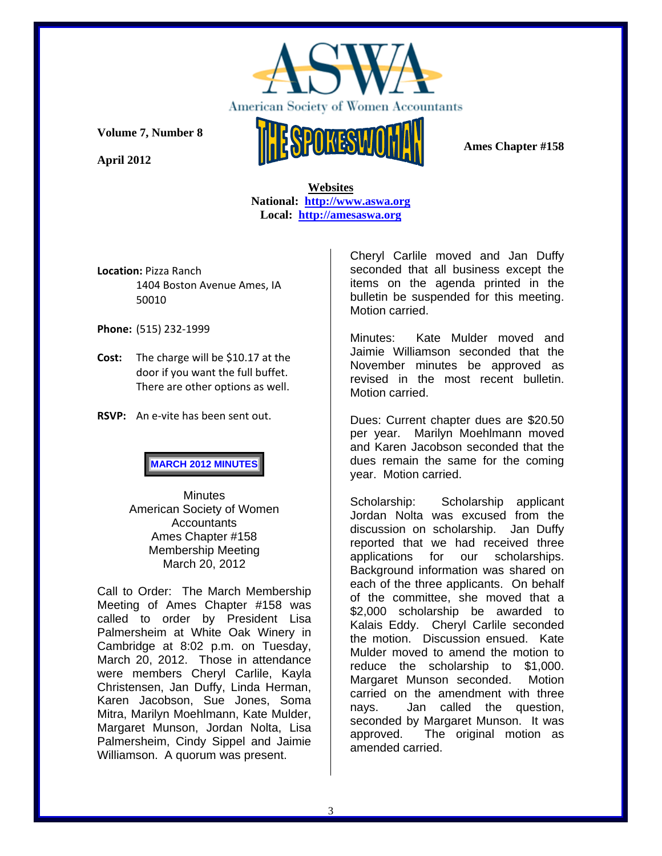

**April 2012** 



 **Ames Chapter #158** 

## **Websites National: http://www.aswa.org Local: http://amesaswa.org**

**Location:** Pizza Ranch 1404 Boston Avenue Ames, IA 50010

**Phone:** (515) 232‐1999

- **Cost:**  The charge will be \$10.17 at the door if you want the full buffet. There are other options as well.
- **RSVP:**  An e‐vite has been sent out.

**MARCH 2012 MINUTES**

**Minutes** American Society of Women **Accountants** Ames Chapter #158 Membership Meeting March 20, 2012

Call to Order: The March Membership Meeting of Ames Chapter #158 was called to order by President Lisa Palmersheim at White Oak Winery in Cambridge at 8:02 p.m. on Tuesday, March 20, 2012. Those in attendance were members Cheryl Carlile, Kayla Christensen, Jan Duffy, Linda Herman, Karen Jacobson, Sue Jones, Soma Mitra, Marilyn Moehlmann, Kate Mulder, Margaret Munson, Jordan Nolta, Lisa Palmersheim, Cindy Sippel and Jaimie Williamson. A quorum was present.

Cheryl Carlile moved and Jan Duffy seconded that all business except the items on the agenda printed in the bulletin be suspended for this meeting. Motion carried.

Minutes: Kate Mulder moved and Jaimie Williamson seconded that the November minutes be approved as revised in the most recent bulletin. Motion carried.

Dues: Current chapter dues are \$20.50 per year. Marilyn Moehlmann moved and Karen Jacobson seconded that the dues remain the same for the coming year. Motion carried.

Scholarship: Scholarship applicant Jordan Nolta was excused from the discussion on scholarship. Jan Duffy reported that we had received three applications for our scholarships. Background information was shared on each of the three applicants. On behalf of the committee, she moved that a \$2,000 scholarship be awarded to Kalais Eddy. Cheryl Carlile seconded the motion. Discussion ensued. Kate Mulder moved to amend the motion to reduce the scholarship to \$1,000. Margaret Munson seconded. Motion carried on the amendment with three nays. Jan called the question, seconded by Margaret Munson. It was approved. The original motion as amended carried.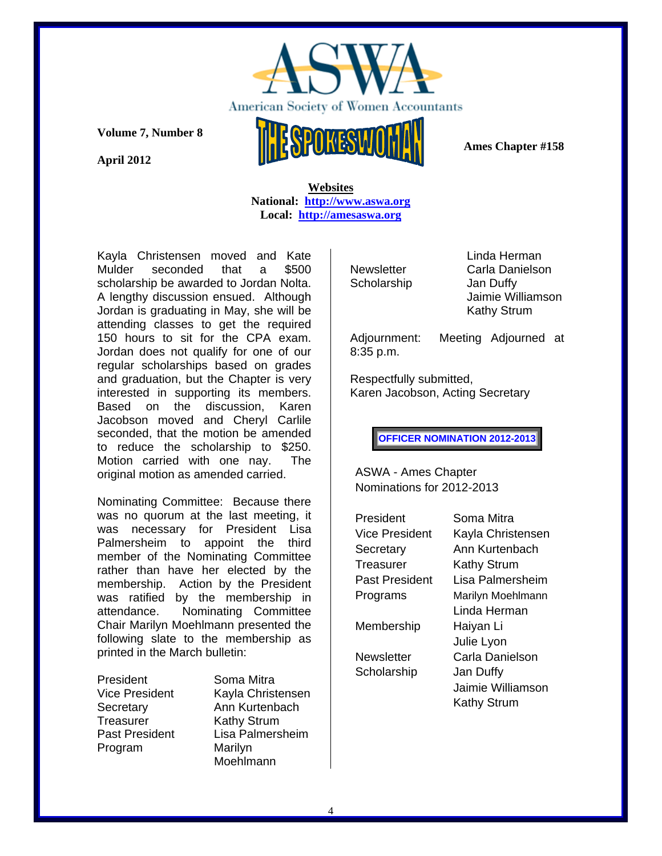

**April 2012** 



 **Ames Chapter #158** 

 **Websites National: http://www.aswa.org Local: http://amesaswa.org**

Kayla Christensen moved and Kate Mulder seconded that a \$500 scholarship be awarded to Jordan Nolta. A lengthy discussion ensued. Although Jordan is graduating in May, she will be attending classes to get the required 150 hours to sit for the CPA exam. Jordan does not qualify for one of our regular scholarships based on grades and graduation, but the Chapter is very interested in supporting its members. Based on the discussion, Karen Jacobson moved and Cheryl Carlile seconded, that the motion be amended to reduce the scholarship to \$250. Motion carried with one nay. The original motion as amended carried.

Nominating Committee: Because there was no quorum at the last meeting, it was necessary for President Lisa Palmersheim to appoint the third member of the Nominating Committee rather than have her elected by the membership. Action by the President was ratified by the membership in attendance. Nominating Committee Chair Marilyn Moehlmann presented the following slate to the membership as printed in the March bulletin:

President Soma Mitra Treasurer Kathy Strum Program Marilyn

Vice President Kayla Christensen Secretary **Ann Kurtenbach** Past President Lisa Palmersheim Moehlmann

Scholarship Jan Duffy

 Linda Herman Newsletter Carla Danielson Jaimie Williamson Kathy Strum

8:35 p.m.

Adjournment: Meeting Adjourned at

Respectfully submitted, Karen Jacobson, Acting Secretary

**OFFICER NOMINATION 2012-2013** 

ASWA - Ames Chapter Nominations for 2012-2013

| President             | Soma Mitra         |
|-----------------------|--------------------|
| Vice President        | Kayla Christensen  |
| Secretary             | Ann Kurtenbach     |
| Treasurer             | Kathy Strum        |
| <b>Past President</b> | Lisa Palmersheim   |
| Programs              | Marilyn Moehlmann  |
|                       | Linda Herman       |
| Membership            | Haiyan Li          |
|                       | Julie Lyon         |
| Newsletter            | Carla Danielson    |
| Scholarship           | Jan Duffy          |
|                       | Jaimie Williamson  |
|                       | <b>Kathy Strum</b> |
|                       |                    |